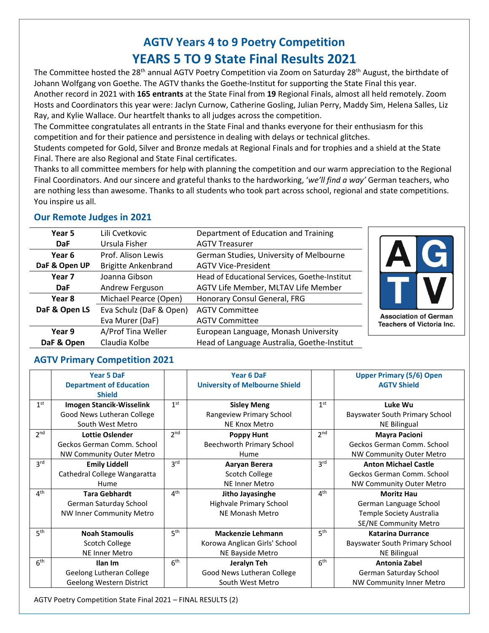# **AGTV Years 4 to 9 Poetry Competition YEARS 5 TO 9 State Final Results 2021**

The Committee hosted the 28<sup>th</sup> annual AGTV Poetry Competition via Zoom on Saturday 28<sup>th</sup> August, the birthdate of Johann Wolfgang von Goethe. The AGTV thanks the Goethe-Institut for supporting the State Final this year. Another record in 2021 with **165 entrants** at the State Final from **19** Regional Finals, almost all held remotely. Zoom Hosts and Coordinators this year were: Jaclyn Curnow, Catherine Gosling, Julian Perry, Maddy Sim, Helena Salles, Liz Ray, and Kylie Wallace. Our heartfelt thanks to all judges across the competition.

The Committee congratulates all entrants in the State Final and thanks everyone for their enthusiasm for this competition and for their patience and persistence in dealing with delays or technical glitches.

Students competed for Gold, Silver and Bronze medals at Regional Finals and for trophies and a shield at the State Final. There are also Regional and State Final certificates.

Thanks to all committee members for help with planning the competition and our warm appreciation to the Regional Final Coordinators. And our sincere and grateful thanks to the hardworking, '*we'll find a way'* German teachers, who are nothing less than awesome. Thanks to all students who took part across school, regional and state competitions. You inspire us all.

### **Our Remote Judges in 2021**

| Year 5        | Lili Cvetkovic             | Department of Education and Training          |                                                                  |
|---------------|----------------------------|-----------------------------------------------|------------------------------------------------------------------|
| <b>DaF</b>    | Ursula Fisher              | <b>AGTV Treasurer</b>                         |                                                                  |
| Year 6        | Prof. Alison Lewis         | German Studies, University of Melbourne       |                                                                  |
| DaF & Open UP | <b>Brigitte Ankenbrand</b> | <b>AGTV Vice-President</b>                    |                                                                  |
| Year 7        | Joanna Gibson              | Head of Educational Services, Goethe-Institut |                                                                  |
| <b>DaF</b>    | Andrew Ferguson            | AGTV Life Member, MLTAV Life Member           |                                                                  |
| Year 8        | Michael Pearce (Open)      | Honorary Consul General, FRG                  |                                                                  |
| DaF & Open LS | Eva Schulz (DaF & Open)    | <b>AGTV Committee</b>                         |                                                                  |
|               | Eva Murer (DaF)            | <b>AGTV Committee</b>                         | <b>Association of German</b><br><b>Teachers of Victoria Inc.</b> |
| Year 9        | A/Prof Tina Weller         | European Language, Monash University          |                                                                  |
| DaF & Open    | Claudia Kolbe              | Head of Language Australia, Goethe-Institut   |                                                                  |

### **AGTV Primary Competition 2021**

|                 | <b>Year 5 DaF</b>               |                                | <b>Year 6 DaF</b>                     |                 | <b>Upper Primary (5/6) Open</b> |
|-----------------|---------------------------------|--------------------------------|---------------------------------------|-----------------|---------------------------------|
|                 | <b>Department of Education</b>  |                                | <b>University of Melbourne Shield</b> |                 | <b>AGTV Shield</b>              |
|                 | <b>Shield</b>                   |                                |                                       |                 |                                 |
| 1 <sup>st</sup> | Imogen Stancik-Wisselink        | 1 <sup>st</sup>                | <b>Sisley Meng</b>                    | 1 <sup>st</sup> | Luke Wu                         |
|                 | Good News Lutheran College      |                                | Rangeview Primary School              |                 | Bayswater South Primary School  |
|                 | South West Metro                |                                | NE Knox Metro                         |                 | <b>NE Bilingual</b>             |
| 2 <sup>nd</sup> | Lottie Oslender                 | 2 <sub>nd</sub>                | <b>Poppy Hunt</b>                     | 2 <sup>nd</sup> | <b>Mayra Pacioni</b>            |
|                 | Geckos German Comm. School      |                                | <b>Beechworth Primary School</b>      |                 | Geckos German Comm. School      |
|                 | <b>NW Community Outer Metro</b> |                                | Hume                                  |                 | <b>NW Community Outer Metro</b> |
| 3 <sup>rd</sup> | <b>Emily Liddell</b>            | 3 <sup>rd</sup>                | Aaryan Berera                         | 3 <sup>rd</sup> | <b>Anton Michael Castle</b>     |
|                 | Cathedral College Wangaratta    |                                | Scotch College                        |                 | Geckos German Comm. School      |
|                 | Hume                            |                                | <b>NE Inner Metro</b>                 |                 | <b>NW Community Outer Metro</b> |
| $4^{\text{th}}$ | <b>Tara Gebhardt</b>            | $\mathbf{\Lambda}^{\text{th}}$ | Jitho Jayasinghe                      | 4 <sup>th</sup> | <b>Moritz Hau</b>               |
|                 | German Saturday School          |                                | Highvale Primary School               |                 | German Language School          |
|                 | <b>NW Inner Community Metro</b> |                                | NE Monash Metro                       |                 | Temple Society Australia        |
|                 |                                 |                                |                                       |                 | <b>SE/NE Community Metro</b>    |
| 5 <sup>th</sup> | <b>Noah Stamoulis</b>           | 5 <sup>th</sup>                | <b>Mackenzie Lehmann</b>              | 5 <sup>th</sup> | <b>Katarina Durrance</b>        |
|                 | Scotch College                  |                                | Korowa Anglican Girls' School         |                 | Bayswater South Primary School  |
|                 | NE Inner Metro                  |                                | NE Bayside Metro                      |                 | <b>NE Bilingual</b>             |
| 6 <sup>th</sup> | Ilan Im                         | 6 <sup>th</sup>                | Jeralyn Teh                           | 6 <sup>th</sup> | Antonia Zabel                   |
|                 | Geelong Lutheran College        |                                | Good News Lutheran College            |                 | German Saturday School          |
|                 | Geelong Western District        |                                | South West Metro                      |                 | NW Community Inner Metro        |

AGTV Poetry Competition State Final 2021 – FINAL RESULTS (2)